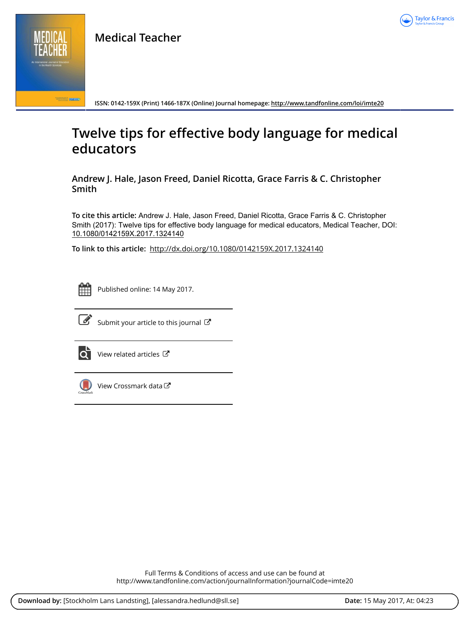

**Medical Teacher**



# **Twelve tips for effective body language for medical educators**

**Andrew J. Hale, Jason Freed, Daniel Ricotta, Grace Farris & C. Christopher Smith**

**To cite this article:** Andrew J. Hale, Jason Freed, Daniel Ricotta, Grace Farris & C. Christopher Smith (2017): Twelve tips for effective body language for medical educators, Medical Teacher, DOI: [10.1080/0142159X.2017.1324140](http://www.tandfonline.com/action/showCitFormats?doi=10.1080/0142159X.2017.1324140)

**To link to this article:** <http://dx.doi.org/10.1080/0142159X.2017.1324140>



**ELECTRIC CITIERS** 

Published online: 14 May 2017.



[Submit your article to this journal](http://www.tandfonline.com/action/authorSubmission?journalCode=imte20&show=instructions)  $\mathbb{Z}$ 



 $\overrightarrow{Q}$  [View related articles](http://www.tandfonline.com/doi/mlt/10.1080/0142159X.2017.1324140)  $\overrightarrow{C}$ 



[View Crossmark data](http://crossmark.crossref.org/dialog/?doi=10.1080/0142159X.2017.1324140&domain=pdf&date_stamp=2017-05-14)  $\mathbb{Z}$ 

Full Terms & Conditions of access and use can be found at <http://www.tandfonline.com/action/journalInformation?journalCode=imte20>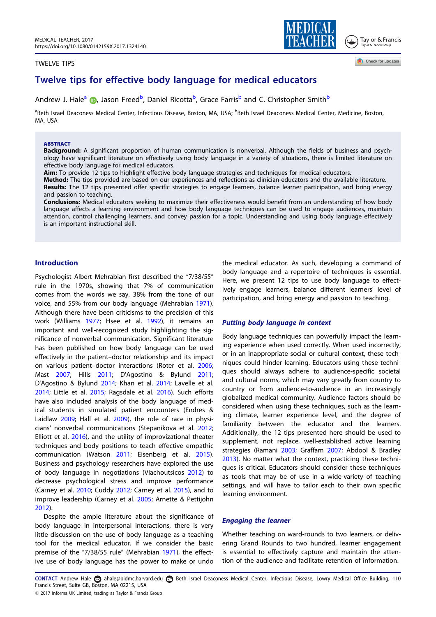# <span id="page-1-0"></span>TWELVE TIPS



Taylor & Francis

Check for updates

# Twelve tips for effective body language for medical educators

Andrew J. Hale<sup>a</sup> (D, Jason Freed<sup>b</sup>, Daniel Ricotta<sup>b</sup>, Grace Farris<sup>b</sup> and C. Christopher Smith<sup>b</sup>

<sup>a</sup>Beth Israel Deaconess Medical Center, Infectious Disease, Boston, MA, USA; <sup>b</sup>Beth Israel Deaconess Medical Center, Medicine, Boston, MA, USA

#### ABSTRACT

Background: A significant proportion of human communication is nonverbal. Although the fields of business and psychology have significant literature on effectively using body language in a variety of situations, there is limited literature on effective body language for medical educators.

Aim: To provide 12 tips to highlight effective body language strategies and techniques for medical educators.

Method: The tips provided are based on our experiences and reflections as clinician-educators and the available literature. Results: The 12 tips presented offer specific strategies to engage learners, balance learner participation, and bring energy and passion to teaching.

Conclusions: Medical educators seeking to maximize their effectiveness would benefit from an understanding of how body language affects a learning environment and how body language techniques can be used to engage audiences, maintain attention, control challenging learners, and convey passion for a topic. Understanding and using body language effectively is an important instructional skill.

# Introduction

Psychologist Albert Mehrabian first described the "7/38/55" rule in the 1970s, showing that 7% of communication comes from the words we say, 38% from the tone of our voice, and 55% from our body language (Mehrabian [1971\)](#page-5-0). Although there have been criticisms to the precision of this work (Williams [1977](#page-6-0); Hsee et al. [1992](#page-5-0)), it remains an important and well-recognized study highlighting the significance of nonverbal communication. Significant literature has been published on how body language can be used effectively in the patient–doctor relationship and its impact on various patient–doctor interactions (Roter et al. [2006;](#page-5-0) Mast [2007;](#page-5-0) Hills [2011;](#page-5-0) D'Agostino & Bylund [2011;](#page-5-0) D'Agostino & Bylund [2014](#page-5-0); Khan et al. [2014;](#page-5-0) Lavelle et al. [2014](#page-5-0); Little et al. [2015;](#page-5-0) Ragsdale et al. [2016\)](#page-5-0). Such efforts have also included analysis of the body language of medical students in simulated patient encounters (Endres & Laidlaw [2009](#page-5-0); Hall et al. [2009](#page-5-0)), the role of race in physicians' nonverbal communications (Stepanikova et al. [2012;](#page-6-0) Elliott et al. [2016](#page-5-0)), and the utility of improvizational theater techniques and body positions to teach effective empathic communication (Watson [2011](#page-6-0); Eisenberg et al. [2015](#page-5-0)). Business and psychology researchers have explored the use of body language in negotiations (Vlachoutsicos [2012\)](#page-6-0) to decrease psychological stress and improve performance (Carney et al. [2010](#page-5-0); Cuddy [2012;](#page-5-0) Carney et al. [2015\)](#page-5-0), and to improve leadership (Carney et al. [2005;](#page-5-0) Arnette & Pettijohn [2012](#page-5-0)).

Despite the ample literature about the significance of body language in interpersonal interactions, there is very little discussion on the use of body language as a teaching tool for the medical educator. If we consider the basic premise of the "7/38/55 rule" (Mehrabian [1971](#page-5-0)), the effective use of body language has the power to make or undo

the medical educator. As such, developing a command of body language and a repertoire of techniques is essential. Here, we present 12 tips to use body language to effectively engage learners, balance different learners' level of participation, and bring energy and passion to teaching.

# Putting body language in context

Body language techniques can powerfully impact the learning experience when used correctly. When used incorrectly, or in an inappropriate social or cultural context, these techniques could hinder learning. Educators using these techniques should always adhere to audience-specific societal and cultural norms, which may vary greatly from country to country or from audience-to-audience in an increasingly globalized medical community. Audience factors should be considered when using these techniques, such as the learning climate, learner experience level, and the degree of familiarity between the educator and the learners. Additionally, the 12 tips presented here should be used to supplement, not replace, well-established active learning strategies (Ramani [2003](#page-5-0); Graffam [2007](#page-5-0); Abdool & Bradley [2013](#page-5-0)). No matter what the context, practicing these techniques is critical. Educators should consider these techniques as tools that may be of use in a wide-variety of teaching settings, and will have to tailor each to their own specific learning environment.

# Engaging the learner

Whether teaching on ward-rounds to two learners, or delivering Grand Rounds to two hundred, learner engagement is essential to effectively capture and maintain the attention of the audience and facilitate retention of information.

CONTACT Andrew Hale a ahale@bidmc.harvard.edu **Beth Israel Deaconess Medical Center**, Infectious Disease, Lowry Medical Office Building, 110 Francis Street, Suite GB, Boston, MA 02215, USA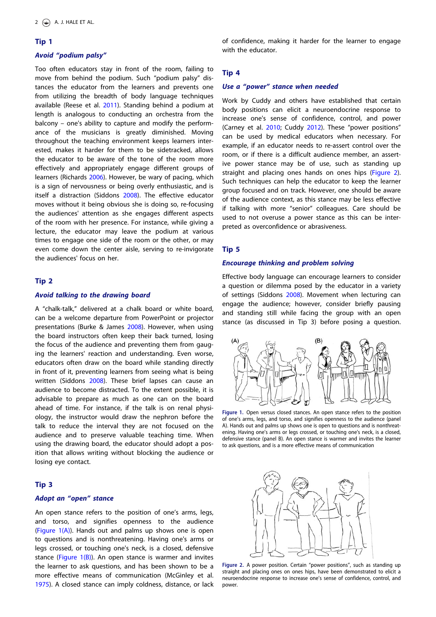# <span id="page-2-0"></span>Tip 1

# Avoid "podium palsy"

Too often educators stay in front of the room, failing to move from behind the podium. Such "podium palsy" distances the educator from the learners and prevents one from utilizing the breadth of body language techniques available (Reese et al. [2011](#page-5-0)). Standing behind a podium at length is analogous to conducting an orchestra from the balcony – one's ability to capture and modify the performance of the musicians is greatly diminished. Moving throughout the teaching environment keeps learners interested, makes it harder for them to be sidetracked, allows the educator to be aware of the tone of the room more effectively and appropriately engage different groups of learners (Richards [2006](#page-5-0)). However, be wary of pacing, which is a sign of nervousness or being overly enthusiastic, and is itself a distraction (Siddons [2008\)](#page-6-0). The effective educator moves without it being obvious she is doing so, re-focusing the audiences' attention as she engages different aspects of the room with her presence. For instance, while giving a lecture, the educator may leave the podium at various times to engage one side of the room or the other, or may even come down the center aisle, serving to re-invigorate the audiences' focus on her.

# Tip 2

# Avoid talking to the drawing board

A "chalk-talk," delivered at a chalk board or white board, can be a welcome departure from PowerPoint or projector presentations (Burke & James [2008](#page-5-0)). However, when using the board instructors often keep their back turned, losing the focus of the audience and preventing them from gauging the learners' reaction and understanding. Even worse, educators often draw on the board while standing directly in front of it, preventing learners from seeing what is being written (Siddons [2008](#page-6-0)). These brief lapses can cause an audience to become distracted. To the extent possible, it is advisable to prepare as much as one can on the board ahead of time. For instance, if the talk is on renal physiology, the instructor would draw the nephron before the talk to reduce the interval they are not focused on the audience and to preserve valuable teaching time. When using the drawing board, the educator should adopt a position that allows writing without blocking the audience or losing eye contact.

# Tip 3

#### Adopt an "open" stance

An open stance refers to the position of one's arms, legs, and torso, and signifies openness to the audience (Figure  $1(A)$ ). Hands out and palms up shows one is open to questions and is nonthreatening. Having one's arms or legs crossed, or touching one's neck, is a closed, defensive stance (Figure  $1(B)$ ). An open stance is warmer and invites the learner to ask questions, and has been shown to be a more effective means of communication (McGinley et al. [1975](#page-5-0)). A closed stance can imply coldness, distance, or lack of confidence, making it harder for the learner to engage with the educator.

# Tip 4

# Use a "power" stance when needed

Work by Cuddy and others have established that certain body positions can elicit a neuroendocrine response to increase one's sense of confidence, control, and power (Carney et al. [2010;](#page-5-0) Cuddy [2012\)](#page-5-0). These "power positions" can be used by medical educators when necessary. For example, if an educator needs to re-assert control over the room, or if there is a difficult audience member, an assertive power stance may be of use, such as standing up straight and placing ones hands on ones hips (Figure 2). Such techniques can help the educator to keep the learner group focused and on track. However, one should be aware of the audience context, as this stance may be less effective if talking with more "senior" colleagues. Care should be used to not overuse a power stance as this can be interpreted as overconfidence or abrasiveness.

#### Tip 5

#### Encourage thinking and problem solving

Effective body language can encourage learners to consider a question or dilemma posed by the educator in a variety of settings (Siddons [2008](#page-6-0)). Movement when lecturing can engage the audience; however, consider briefly pausing and standing still while facing the group with an open stance (as discussed in Tip 3) before posing a question.



Figure 1. Open versus closed stances. An open stance refers to the position of one's arms, legs, and torso, and signifies openness to the audience (panel A). Hands out and palms up shows one is open to questions and is nonthreatening. Having one's arms or legs crossed, or touching one's neck, is a closed, defensive stance (panel B). An open stance is warmer and invites the learner to ask questions, and is a more effective means of communication



Figure 2. A power position. Certain "power positions", such as standing up straight and placing ones on ones hips, have been demonstrated to elicit a neuroendocrine response to increase one's sense of confidence, control, and power.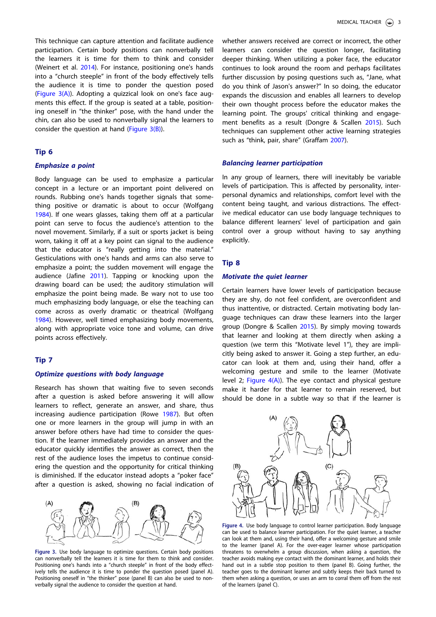<span id="page-3-0"></span>This technique can capture attention and facilitate audience participation. Certain body positions can nonverbally tell the learners it is time for them to think and consider (Weinert et al. [2014](#page-6-0)). For instance, positioning one's hands into a "church steeple" in front of the body effectively tells the audience it is time to ponder the question posed (Figure 3(A)). Adopting a quizzical look on one's face augments this effect. If the group is seated at a table, positioning oneself in "the thinker" pose, with the hand under the chin, can also be used to nonverbally signal the learners to consider the question at hand (Figure 3(B)).

# Tip 6

### Emphasize a point

Body language can be used to emphasize a particular concept in a lecture or an important point delivered on rounds. Rubbing one's hands together signals that something positive or dramatic is about to occur (Wolfgang [1984](#page-6-0)). If one wears glasses, taking them off at a particular point can serve to focus the audience's attention to the novel movement. Similarly, if a suit or sports jacket is being worn, taking it off at a key point can signal to the audience that the educator is "really getting into the material." Gesticulations with one's hands and arms can also serve to emphasize a point; the sudden movement will engage the audience (Jafine [2011](#page-5-0)). Tapping or knocking upon the drawing board can be used; the auditory stimulation will emphasize the point being made. Be wary not to use too much emphasizing body language, or else the teaching can come across as overly dramatic or theatrical (Wolfgang [1984](#page-6-0)). However, well timed emphasizing body movements, along with appropriate voice tone and volume, can drive points across effectively.

# Tip 7

# Optimize questions with body language

Research has shown that waiting five to seven seconds after a question is asked before answering it will allow learners to reflect, generate an answer, and share, thus increasing audience participation (Rowe [1987](#page-6-0)). But often one or more learners in the group will jump in with an answer before others have had time to consider the question. If the learner immediately provides an answer and the educator quickly identifies the answer as correct, then the rest of the audience loses the impetus to continue considering the question and the opportunity for critical thinking is diminished. If the educator instead adopts a "poker face" after a question is asked, showing no facial indication of



Figure 3. Use body language to optimize questions. Certain body positions can nonverbally tell the learners it is time for them to think and consider. Positioning one's hands into a "church steeple" in front of the body effectively tells the audience it is time to ponder the question posed (panel A). Positioning oneself in "the thinker" pose (panel B) can also be used to nonverbally signal the audience to consider the question at hand.

whether answers received are correct or incorrect, the other learners can consider the question longer, facilitating deeper thinking. When utilizing a poker face, the educator continues to look around the room and perhaps facilitates further discussion by posing questions such as, "Jane, what do you think of Jason's answer?" In so doing, the educator expands the discussion and enables all learners to develop their own thought process before the educator makes the learning point. The groups' critical thinking and engagement benefits as a result (Dongre & Scallen [2015](#page-5-0)). Such techniques can supplement other active learning strategies such as "think, pair, share" (Graffam [2007\)](#page-5-0).

#### Balancing learner participation

In any group of learners, there will inevitably be variable levels of participation. This is affected by personality, interpersonal dynamics and relationships, comfort level with the content being taught, and various distractions. The effective medical educator can use body language techniques to balance different learners' level of participation and gain control over a group without having to say anything explicitly.

#### Tip 8

#### Motivate the quiet learner

Certain learners have lower levels of participation because they are shy, do not feel confident, are overconfident and thus inattentive, or distracted. Certain motivating body language techniques can draw these learners into the larger group (Dongre & Scallen [2015](#page-5-0)). By simply moving towards that learner and looking at them directly when asking a question (we term this "Motivate level 1"), they are implicitly being asked to answer it. Going a step further, an educator can look at them and, using their hand, offer a welcoming gesture and smile to the learner (Motivate level 2; Figure  $4(A)$ ). The eye contact and physical gesture make it harder for that learner to remain reserved, but should be done in a subtle way so that if the learner is



Figure 4. Use body language to control learner participation. Body language can be used to balance learner participation. For the quiet learner, a teacher can look at them and, using their hand, offer a welcoming gesture and smile to the learner (panel A). For the over-eager learner whose participation threatens to overwhelm a group discussion, when asking a question, the teacher avoids making eye contact with the dominant learner, and holds their hand out in a subtle stop position to them (panel B). Going further, the teacher goes to the dominant learner and subtly keeps their back turned to them when asking a question, or uses an arm to corral them off from the rest of the learners (panel C).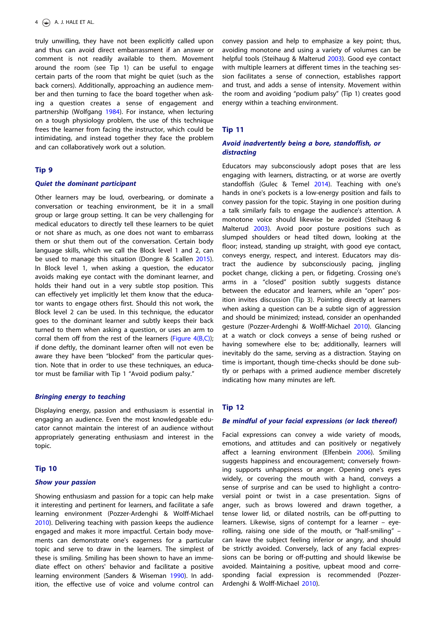<span id="page-4-0"></span>truly unwilling, they have not been explicitly called upon and thus can avoid direct embarrassment if an answer or comment is not readily available to them. Movement around the room (see Tip 1) can be useful to engage certain parts of the room that might be quiet (such as the back corners). Additionally, approaching an audience member and then turning to face the board together when asking a question creates a sense of engagement and partnership (Wolfgang [1984](#page-6-0)). For instance, when lecturing on a tough physiology problem, the use of this technique frees the learner from facing the instructor, which could be intimidating, and instead together they face the problem and can collaboratively work out a solution.

# Tip 9

#### Quiet the dominant participant

Other learners may be loud, overbearing, or dominate a conversation or teaching environment, be it in a small group or large group setting. It can be very challenging for medical educators to directly tell these learners to be quiet or not share as much, as one does not want to embarrass them or shut them out of the conversation. Certain body language skills, which we call the Block level 1 and 2, can be used to manage this situation (Dongre & Scallen [2015\)](#page-5-0). In Block level 1, when asking a question, the educator avoids making eye contact with the dominant learner, and holds their hand out in a very subtle stop position. This can effectively yet implicitly let them know that the educator wants to engage others first. Should this not work, the Block level 2 can be used. In this technique, the educator goes to the dominant learner and subtly keeps their back turned to them when asking a question, or uses an arm to corral them off from the rest of the learners (Figure  $4(B,C)$ ); if done deftly, the dominant learner often will not even be aware they have been "blocked" from the particular question. Note that in order to use these techniques, an educator must be familiar with Tip 1 "Avoid podium palsy."

# Bringing energy to teaching

Displaying energy, passion and enthusiasm is essential in engaging an audience. Even the most knowledgeable educator cannot maintain the interest of an audience without appropriately generating enthusiasm and interest in the topic.

# Tip 10

#### Show your passion

Showing enthusiasm and passion for a topic can help make it interesting and pertinent for learners, and facilitate a safe learning environment (Pozzer-Ardenghi & Wolff-Michael [2010](#page-5-0)). Delivering teaching with passion keeps the audience engaged and makes it more impactful. Certain body movements can demonstrate one's eagerness for a particular topic and serve to draw in the learners. The simplest of these is smiling. Smiling has been shown to have an immediate effect on others' behavior and facilitate a positive learning environment (Sanders & Wiseman [1990\)](#page-6-0). In addition, the effective use of voice and volume control can convey passion and help to emphasize a key point; thus, avoiding monotone and using a variety of volumes can be helpful tools (Steihaug & Malterud [2003\)](#page-6-0). Good eye contact with multiple learners at different times in the teaching session facilitates a sense of connection, establishes rapport and trust, and adds a sense of intensity. Movement within the room and avoiding "podium palsy" (Tip 1) creates good energy within a teaching environment.

#### Tip 11

# Avoid inadvertently being a bore, standoffish, or distracting

Educators may subconsciously adopt poses that are less engaging with learners, distracting, or at worse are overtly standoffish (Gulec & Temel [2014\)](#page-5-0). Teaching with one's hands in one's pockets is a low-energy position and fails to convey passion for the topic. Staying in one position during a talk similarly fails to engage the audience's attention. A monotone voice should likewise be avoided (Steihaug & Malterud [2003\)](#page-6-0). Avoid poor posture positions such as slumped shoulders or head tilted down, looking at the floor; instead, standing up straight, with good eye contact, conveys energy, respect, and interest. Educators may distract the audience by subconsciously pacing, jingling pocket change, clicking a pen, or fidgeting. Crossing one's arms in a "closed" position subtly suggests distance between the educator and learners, while an "open" position invites discussion (Tip 3). Pointing directly at learners when asking a question can be a subtle sign of aggression and should be minimized; instead, consider an openhanded gesture (Pozzer-Ardenghi & Wolff-Michael [2010\)](#page-5-0). Glancing at a watch or clock conveys a sense of being rushed or having somewhere else to be; additionally, learners will inevitably do the same, serving as a distraction. Staying on time is important, though time-checks should be done subtly or perhaps with a primed audience member discretely indicating how many minutes are left.

# Tip 12

#### Be mindful of your facial expressions (or lack thereof)

Facial expressions can convey a wide variety of moods, emotions, and attitudes and can positively or negatively affect a learning environment (Elfenbein [2006](#page-5-0)). Smiling suggests happiness and encouragement; conversely frowning supports unhappiness or anger. Opening one's eyes widely, or covering the mouth with a hand, conveys a sense of surprise and can be used to highlight a controversial point or twist in a case presentation. Signs of anger, such as brows lowered and drawn together, a tense lower lid, or dilated nostrils, can be off-putting to learners. Likewise, signs of contempt for a learner – eyerolling, raising one side of the mouth, or "half-smiling" – can leave the subject feeling inferior or angry, and should be strictly avoided. Conversely, lack of any facial expressions can be boring or off-putting and should likewise be avoided. Maintaining a positive, upbeat mood and corresponding facial expression is recommended (Pozzer-Ardenghi & Wolff-Michael [2010\)](#page-5-0).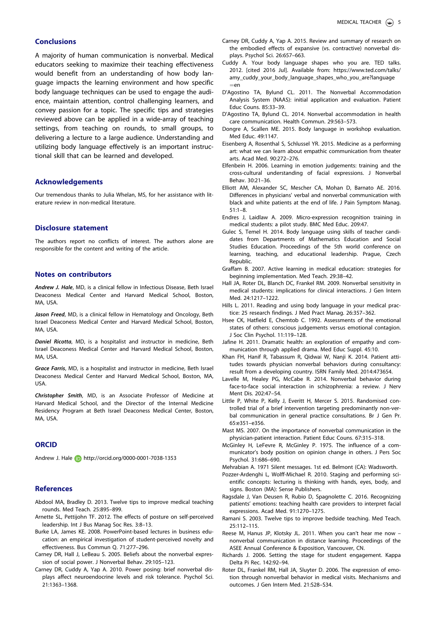# <span id="page-5-0"></span>**Conclusions**

A majority of human communication is nonverbal. Medical educators seeking to maximize their teaching effectiveness would benefit from an understanding of how body language impacts the learning environment and how specific body language techniques can be used to engage the audience, maintain attention, control challenging learners, and convey passion for a topic. The specific tips and strategies reviewed above can be applied in a wide-array of teaching settings, from teaching on rounds, to small groups, to delivering a lecture to a large audience. Understanding and utilizing body language effectively is an important instructional skill that can be learned and developed.

#### Acknowledgements

Our tremendous thanks to Julia Whelan, MS, for her assistance with literature review in non-medical literature.

# Disclosure statement

The authors report no conflicts of interest. The authors alone are responsible for the content and writing of the article.

#### Notes on contributors

Andrew J. Hale, MD, is a clinical fellow in Infectious Disease, Beth Israel Deaconess Medical Center and Harvard Medical School, Boston, MA, USA.

Jason Freed, MD, is a clinical fellow in Hematology and Oncology, Beth Israel Deaconess Medical Center and Harvard Medical School, Boston, MA, USA.

Daniel Ricotta, MD, is a hospitalist and instructor in medicine, Beth Israel Deaconess Medical Center and Harvard Medical School, Boston, MA USA.

Grace Farris, MD, is a hospitalist and instructor in medicine, Beth Israel Deaconess Medical Center and Harvard Medical School, Boston, MA, USA.

Christopher Smith, MD, is an Associate Professor of Medicine at Harvard Medical School, and the Director of the Internal Medicine Residency Program at Beth Israel Deaconess Medical Center, Boston, MA, USA.

## **ORCID**

Andrew J. Hale **b** http://orcid.org/0000-0001-7038-1353

# References

- Abdool MA, Bradley D. [2013.](#page-1-0) Twelve tips to improve medical teaching rounds. Med Teach. 25:895–899.
- Arnette SL, Pettijohn TF. [2012](#page-1-0). The effects of posture on self-perceived leadership. Int J Bus Manag Soc Res. 3:8–13.
- Burke LA, James KE. [2008.](#page-2-0) PowerPoint-based lectures in business education: an empirical investigation of student-perceived novelty and effectiveness. Bus Commun Q. 71:277–296.
- Carney DR, Hall J, LeBeau S. [2005](#page-1-0). Beliefs about the nonverbal expression of social power. J Nonverbal Behav. 29:105–123.
- Carney DR, Cuddy A, Yap A. [2010](#page-1-0). Power posing: brief nonverbal displays affect neuroendocrine levels and risk tolerance. Psychol Sci. 21:1363–1368.
- Carney DR, Cuddy A, Yap A. [2015](#page-1-0). Review and summary of research on the embodied effects of expansive (vs. contractive) nonverbal displays. Psychol Sci. 26:657–663.
- Cuddy A. Your body language shapes who you are. TED talks. [2012.](#page-1-0) [cited 2016 Jul]. Available from: [https://www.ted.com/talks/](https://www.ted.com/talks/amy_cuddy_your_body_language_shapes_who_you_are?language=en) [amy\\_cuddy\\_your\\_body\\_language\\_shapes\\_who\\_you\\_are?language](https://www.ted.com/talks/amy_cuddy_your_body_language_shapes_who_you_are?language=en)  $=$ [en](https://www.ted.com/talks/amy_cuddy_your_body_language_shapes_who_you_are?language=en)
- D'Agostino TA, Bylund CL. [2011.](#page-1-0) The Nonverbal Accommodation Analysis System (NAAS): initial application and evaluation. Patient Educ Couns. 85:33–39.
- D'Agostino TA, Bylund CL. [2014.](#page-1-0) Nonverbal accommodation in health care communication. Health Commun. 29:563–573.
- Dongre A, Scallen ME. [2015](#page-3-0). Body language in workshop evaluation. Med Educ. 49:1147.
- Eisenberg A, Rosenthal S, Schlussel YR. [2015](#page-1-0). Medicine as a performing art: what we can learn about empathic communication from theater arts. Acad Med. 90:272–276.
- Elfenbein H. [2006](#page-4-0). Learning in emotion judgements: training and the cross-cultural understanding of facial expressions. J Nonverbal Behav. 30:21–36.
- Elliott AM, Alexander SC, Mescher CA, Mohan D, Barnato AE. [2016.](#page-1-0) Differences in physicians' verbal and nonverbal communication with black and white patients at the end of life. J Pain Symptom Manag. 51:1–8.
- Endres J, Laidlaw A. [2009](#page-1-0). Micro-expression recognition training in medical students: a pilot study. BMC Med Educ. 209:47.
- Gulec S, Temel H. [2014](#page-4-0). Body language using skills of teacher candidates from Departments of Mathematics Education and Social Studies Education. Proceedings of the 5th world conference on learning, teaching, and educational leadership. Prague, Czech Republic.
- Graffam B. [2007.](#page-1-0) Active learning in medical education: strategies for beginning implementation. Med Teach. 29:38–42.
- Hall JA, Roter DL, Blanch DC, Frankel RM. [2009](#page-1-0). Nonverbal sensitivity in medical students: implications for clinical interactions. J Gen Intern Med. 24:1217–1222.
- Hills L. [2011.](#page-1-0) Reading and using body language in your medical practice: 25 research findings. J Med Pract Manag. 26:357–362.
- Hsee CK, Hatfield E, Chemtob C. [1992](#page-1-0). Assessments of the emotional states of others: conscious judgements versus emotional contagion. J Soc Clin Psychol. 11:119–128.
- Jafine H. [2011.](#page-3-0) Dramatic health: an exploration of empathy and communication through applied drama. Med Educ Suppl. 45:10.
- Khan FH, Hanif R, Tabassum R, Qidwai W, Nanji K. [2014.](#page-1-0) Patient attitudes towards physician nonverbal behaviors during consultancy: result from a developing country. ISRN Family Med. 2014:473654.
- Lavelle M, Healey PG, McCabe R. [2014](#page-1-0). Nonverbal behavior during face-to-face social interaction in schizophrenia: a review. J Nerv Ment Dis. 202:47–54.
- Little P, White P, Kelly J, Everitt H, Mercer S. [2015](#page-1-0). Randomised controlled trial of a brief intervention targeting predominantly non-verbal communication in general practice consultations. Br J Gen Pr. 65:e351–e356.
- Mast MS. [2007.](#page-1-0) On the importance of nonverbal communication in the physician-patient interaction. Patient Educ Couns. 67:315–318.
- McGinley H, LeFevre R, McGinley P. [1975](#page-2-0). The influence of a communicator's body position on opinion change in others. J Pers Soc Psychol. 31:686–690.
- Mehrabian A. [1971](#page-1-0) Silent messages. 1st ed. Belmont (CA): Wadsworth.
- Pozzer-Ardenghi L, Wolff-Michael R. [2010.](#page-4-0) Staging and performing scientific concepts: lecturing is thinking with hands, eyes, body, and signs. Boston (MA): Sense Publishers.
- Ragsdale J, Van Deusen R, Rubio D, Spagnolette C. [2016](#page-1-0). Recognizing patients' emotions: teaching health care providers to interpret facial expressions. Acad Med. 91:1270–1275.
- Ramani S. [2003.](#page-1-0) Twelve tips to improve bedside teaching. Med Teach. 25:112–115.
- Reese M, Hanus JP, Klotsky JL. [2011.](#page-2-0) When you can't hear me now nonverbal communication in distance learning. Proceedings of the ASEE Annual Conference & Exposition, Vancouver, CN.
- Richards J. [2006.](#page-2-0) Setting the stage for student engagement. Kappa Delta Pi Rec. 142:92–94.
- Roter DL, Frankel RM, Hall JA, Sluyter D. [2006.](#page-1-0) The expression of emotion through nonverbal behavior in medical visits. Mechanisms and outcomes. J Gen Intern Med. 21:S28–S34.